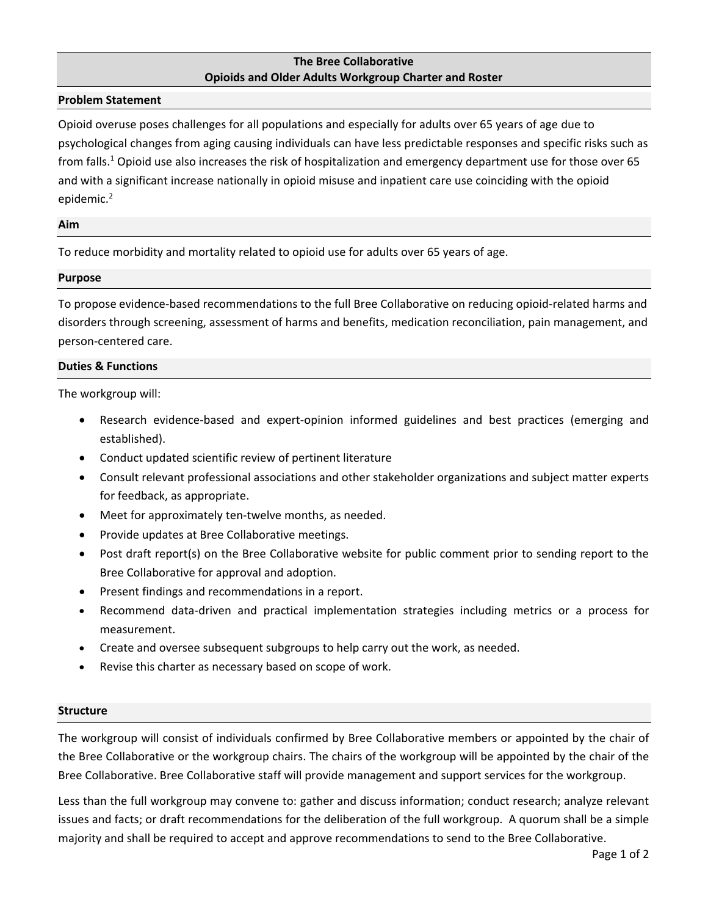# **The Bree Collaborative Opioids and Older Adults Workgroup Charter and Roster**

### **Problem Statement**

Opioid overuse poses challenges for all populations and especially for adults over 65 years of age due to psychological changes from aging causing individuals can have less predictable responses and specific risks such as from falls.<sup>1</sup> Opioid use also increases the risk of hospitalization and emergency department use for those over 65 and with a significant increase nationally in opioid misuse and inpatient care use coinciding with the opioid epidemic.<sup>2</sup>

#### **Aim**

To reduce morbidity and mortality related to opioid use for adults over 65 years of age.

#### **Purpose**

To propose evidence-based recommendations to the full Bree Collaborative on reducing opioid-related harms and disorders through screening, assessment of harms and benefits, medication reconciliation, pain management, and person-centered care.

# **Duties & Functions**

The workgroup will:

- Research evidence-based and expert-opinion informed guidelines and best practices (emerging and established).
- Conduct updated scientific review of pertinent literature
- Consult relevant professional associations and other stakeholder organizations and subject matter experts for feedback, as appropriate.
- Meet for approximately ten-twelve months, as needed.
- Provide updates at Bree Collaborative meetings.
- Post draft report(s) on the Bree Collaborative website for public comment prior to sending report to the Bree Collaborative for approval and adoption.
- Present findings and recommendations in a report.
- Recommend data-driven and practical implementation strategies including metrics or a process for measurement.
- Create and oversee subsequent subgroups to help carry out the work, as needed.
- Revise this charter as necessary based on scope of work.

#### **Structure**

The workgroup will consist of individuals confirmed by Bree Collaborative members or appointed by the chair of the Bree Collaborative or the workgroup chairs. The chairs of the workgroup will be appointed by the chair of the Bree Collaborative. Bree Collaborative staff will provide management and support services for the workgroup.

Less than the full workgroup may convene to: gather and discuss information; conduct research; analyze relevant issues and facts; or draft recommendations for the deliberation of the full workgroup. A quorum shall be a simple majority and shall be required to accept and approve recommendations to send to the Bree Collaborative.